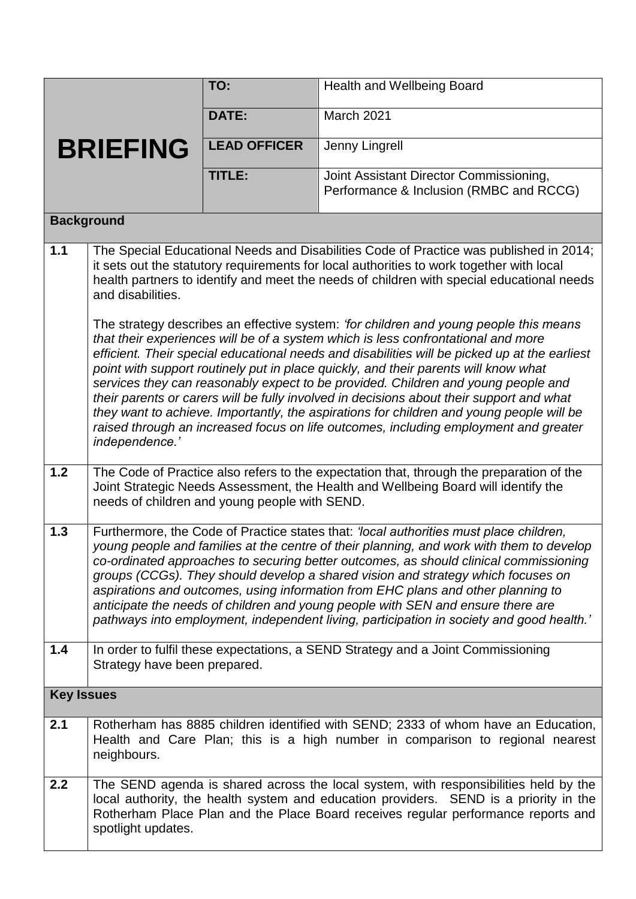|                   |                                                                                                                                                                                                                                                                                                                                                                                                                                                                                                                                                                                                                                                                                                                                                           | TO:                 | Health and Wellbeing Board                                                                                                                                                                                                                                         |  |
|-------------------|-----------------------------------------------------------------------------------------------------------------------------------------------------------------------------------------------------------------------------------------------------------------------------------------------------------------------------------------------------------------------------------------------------------------------------------------------------------------------------------------------------------------------------------------------------------------------------------------------------------------------------------------------------------------------------------------------------------------------------------------------------------|---------------------|--------------------------------------------------------------------------------------------------------------------------------------------------------------------------------------------------------------------------------------------------------------------|--|
|                   |                                                                                                                                                                                                                                                                                                                                                                                                                                                                                                                                                                                                                                                                                                                                                           | <b>DATE:</b>        | March 2021                                                                                                                                                                                                                                                         |  |
|                   | <b>BRIEFING</b>                                                                                                                                                                                                                                                                                                                                                                                                                                                                                                                                                                                                                                                                                                                                           | <b>LEAD OFFICER</b> | Jenny Lingrell                                                                                                                                                                                                                                                     |  |
|                   |                                                                                                                                                                                                                                                                                                                                                                                                                                                                                                                                                                                                                                                                                                                                                           | TITLE:              | Joint Assistant Director Commissioning,<br>Performance & Inclusion (RMBC and RCCG)                                                                                                                                                                                 |  |
| <b>Background</b> |                                                                                                                                                                                                                                                                                                                                                                                                                                                                                                                                                                                                                                                                                                                                                           |                     |                                                                                                                                                                                                                                                                    |  |
| 1.1               | The Special Educational Needs and Disabilities Code of Practice was published in 2014;<br>it sets out the statutory requirements for local authorities to work together with local<br>health partners to identify and meet the needs of children with special educational needs<br>and disabilities.                                                                                                                                                                                                                                                                                                                                                                                                                                                      |                     |                                                                                                                                                                                                                                                                    |  |
|                   | The strategy describes an effective system: 'for children and young people this means<br>that their experiences will be of a system which is less confrontational and more<br>efficient. Their special educational needs and disabilities will be picked up at the earliest<br>point with support routinely put in place quickly, and their parents will know what<br>services they can reasonably expect to be provided. Children and young people and<br>their parents or carers will be fully involved in decisions about their support and what<br>they want to achieve. Importantly, the aspirations for children and young people will be<br>raised through an increased focus on life outcomes, including employment and greater<br>independence.' |                     |                                                                                                                                                                                                                                                                    |  |
| $1.2$             | The Code of Practice also refers to the expectation that, through the preparation of the<br>Joint Strategic Needs Assessment, the Health and Wellbeing Board will identify the<br>needs of children and young people with SEND.                                                                                                                                                                                                                                                                                                                                                                                                                                                                                                                           |                     |                                                                                                                                                                                                                                                                    |  |
| 1.3               | Furthermore, the Code of Practice states that: 'local authorities must place children,<br>young people and families at the centre of their planning, and work with them to develop<br>co-ordinated approaches to securing better outcomes, as should clinical commissioning<br>groups (CCGs). They should develop a shared vision and strategy which focuses on<br>aspirations and outcomes, using information from EHC plans and other planning to<br>anticipate the needs of children and young people with SEN and ensure there are<br>pathways into employment, independent living, participation in society and good health.'                                                                                                                        |                     |                                                                                                                                                                                                                                                                    |  |
| 1.4               | In order to fulfil these expectations, a SEND Strategy and a Joint Commissioning<br>Strategy have been prepared.                                                                                                                                                                                                                                                                                                                                                                                                                                                                                                                                                                                                                                          |                     |                                                                                                                                                                                                                                                                    |  |
| <b>Key Issues</b> |                                                                                                                                                                                                                                                                                                                                                                                                                                                                                                                                                                                                                                                                                                                                                           |                     |                                                                                                                                                                                                                                                                    |  |
| 2.1               | Rotherham has 8885 children identified with SEND; 2333 of whom have an Education,<br>Health and Care Plan; this is a high number in comparison to regional nearest<br>neighbours.                                                                                                                                                                                                                                                                                                                                                                                                                                                                                                                                                                         |                     |                                                                                                                                                                                                                                                                    |  |
| 2.2               | spotlight updates.                                                                                                                                                                                                                                                                                                                                                                                                                                                                                                                                                                                                                                                                                                                                        |                     | The SEND agenda is shared across the local system, with responsibilities held by the<br>local authority, the health system and education providers. SEND is a priority in the<br>Rotherham Place Plan and the Place Board receives regular performance reports and |  |